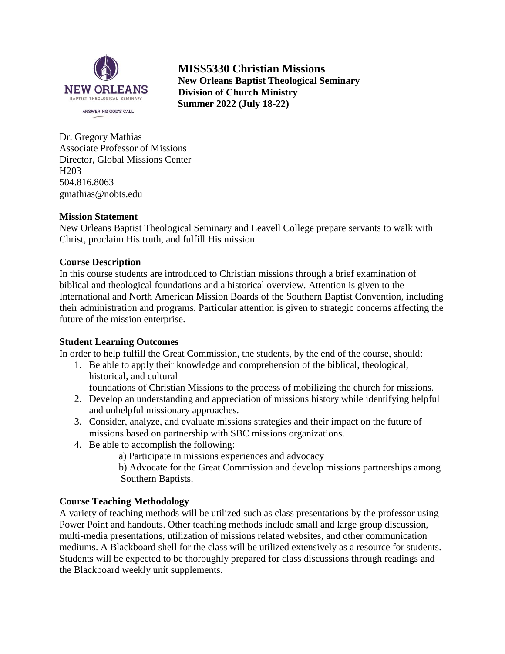

**MISS5330 Christian Missions New Orleans Baptist Theological Seminary Division of Church Ministry Summer 2022 (July 18-22)**

Dr. Gregory Mathias Associate Professor of Missions Director, Global Missions Center H203 504.816.8063 gmathias@nobts.edu

#### **Mission Statement**

New Orleans Baptist Theological Seminary and Leavell College prepare servants to walk with Christ, proclaim His truth, and fulfill His mission.

#### **Course Description**

In this course students are introduced to Christian missions through a brief examination of biblical and theological foundations and a historical overview. Attention is given to the International and North American Mission Boards of the Southern Baptist Convention, including their administration and programs. Particular attention is given to strategic concerns affecting the future of the mission enterprise.

#### **Student Learning Outcomes**

In order to help fulfill the Great Commission, the students, by the end of the course, should:

1. Be able to apply their knowledge and comprehension of the biblical, theological, historical, and cultural

foundations of Christian Missions to the process of mobilizing the church for missions.

- 2. Develop an understanding and appreciation of missions history while identifying helpful and unhelpful missionary approaches.
- 3. Consider, analyze, and evaluate missions strategies and their impact on the future of missions based on partnership with SBC missions organizations.
- 4. Be able to accomplish the following:
	- a) Participate in missions experiences and advocacy
	- b) Advocate for the Great Commission and develop missions partnerships among Southern Baptists.

#### **Course Teaching Methodology**

A variety of teaching methods will be utilized such as class presentations by the professor using Power Point and handouts. Other teaching methods include small and large group discussion, multi-media presentations, utilization of missions related websites, and other communication mediums. A Blackboard shell for the class will be utilized extensively as a resource for students. Students will be expected to be thoroughly prepared for class discussions through readings and the Blackboard weekly unit supplements.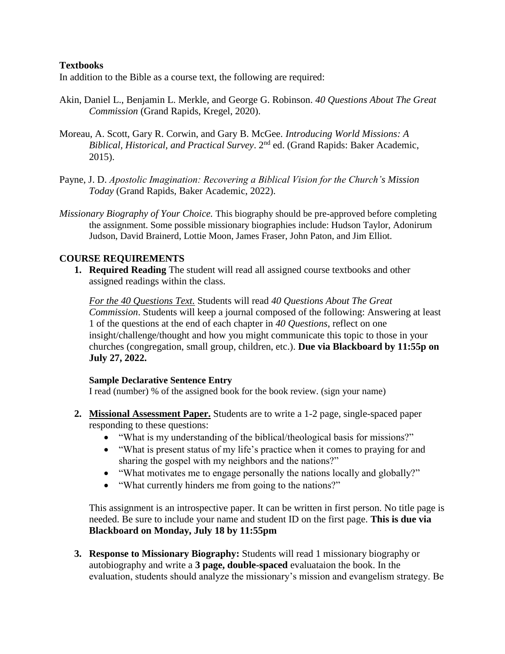## **Textbooks**

In addition to the Bible as a course text, the following are required:

- Akin, Daniel L., Benjamin L. Merkle, and George G. Robinson. *40 Questions About The Great Commission* (Grand Rapids, Kregel, 2020).
- Moreau, A. Scott, Gary R. Corwin, and Gary B. McGee. *Introducing World Missions: A Biblical, Historical, and Practical Survey*. 2nd ed. (Grand Rapids: Baker Academic, 2015).
- Payne, J. D. *Apostolic Imagination: Recovering a Biblical Vision for the Church's Mission Today* (Grand Rapids, Baker Academic, 2022).
- *Missionary Biography of Your Choice.* This biography should be pre-approved before completing the assignment. Some possible missionary biographies include: Hudson Taylor, Adonirum Judson, David Brainerd, Lottie Moon, James Fraser, John Paton, and Jim Elliot.

## **COURSE REQUIREMENTS**

**1. Required Reading** The student will read all assigned course textbooks and other assigned readings within the class.

*For the 40 Questions Text.* Students will read *40 Questions About The Great Commission*. Students will keep a journal composed of the following: Answering at least 1 of the questions at the end of each chapter in *40 Questions*, reflect on one insight/challenge/thought and how you might communicate this topic to those in your churches (congregation, small group, children, etc.). **Due via Blackboard by 11:55p on July 27, 2022.**

#### **Sample Declarative Sentence Entry**

I read (number) % of the assigned book for the book review. (sign your name)

- **2. Missional Assessment Paper.** Students are to write a 1-2 page, single-spaced paper responding to these questions:
	- "What is my understanding of the biblical/theological basis for missions?"
	- "What is present status of my life's practice when it comes to praying for and sharing the gospel with my neighbors and the nations?"
	- "What motivates me to engage personally the nations locally and globally?"
	- "What currently hinders me from going to the nations?"

This assignment is an introspective paper. It can be written in first person. No title page is needed. Be sure to include your name and student ID on the first page. **This is due via Blackboard on Monday, July 18 by 11:55pm**

**3. Response to Missionary Biography:** Students will read 1 missionary biography or autobiography and write a **3 page, double-spaced** evaluataion the book. In the evaluation, students should analyze the missionary's mission and evangelism strategy. Be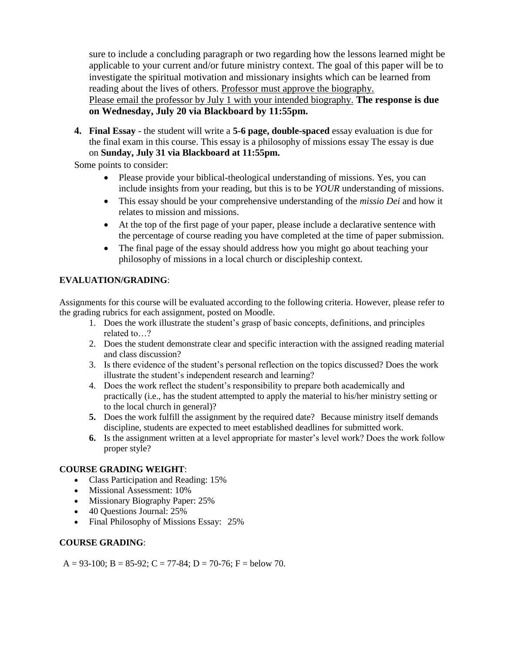sure to include a concluding paragraph or two regarding how the lessons learned might be applicable to your current and/or future ministry context. The goal of this paper will be to investigate the spiritual motivation and missionary insights which can be learned from reading about the lives of others. Professor must approve the biography. Please email the professor by July 1 with your intended biography. **The response is due on Wednesday, July 20 via Blackboard by 11:55pm.**

**4. Final Essay** - the student will write a **5-6 page, double-spaced** essay evaluation is due for the final exam in this course. This essay is a philosophy of missions essay The essay is due on **Sunday, July 31 via Blackboard at 11:55pm.** 

Some points to consider:

- Please provide your biblical-theological understanding of missions. Yes, you can include insights from your reading, but this is to be *YOUR* understanding of missions.
- This essay should be your comprehensive understanding of the *missio Dei* and how it relates to mission and missions.
- At the top of the first page of your paper, please include a declarative sentence with the percentage of course reading you have completed at the time of paper submission.
- The final page of the essay should address how you might go about teaching your philosophy of missions in a local church or discipleship context.

#### **EVALUATION/GRADING**:

Assignments for this course will be evaluated according to the following criteria. However, please refer to the grading rubrics for each assignment, posted on Moodle.

- 1. Does the work illustrate the student's grasp of basic concepts, definitions, and principles related to…?
- 2. Does the student demonstrate clear and specific interaction with the assigned reading material and class discussion?
- 3. Is there evidence of the student's personal reflection on the topics discussed? Does the work illustrate the student's independent research and learning?
- 4. Does the work reflect the student's responsibility to prepare both academically and practically (i.e., has the student attempted to apply the material to his/her ministry setting or to the local church in general)?
- **5.** Does the work fulfill the assignment by the required date? Because ministry itself demands discipline, students are expected to meet established deadlines for submitted work.
- **6.** Is the assignment written at a level appropriate for master's level work? Does the work follow proper style?

#### **COURSE GRADING WEIGHT**:

- Class Participation and Reading: 15%
- Missional Assessment: 10%
- Missionary Biography Paper: 25%
- 40 Questions Journal: 25%
- Final Philosophy of Missions Essay: 25%

#### **COURSE GRADING**:

A = 93-100; B = 85-92; C = 77-84; D = 70-76; F = below 70.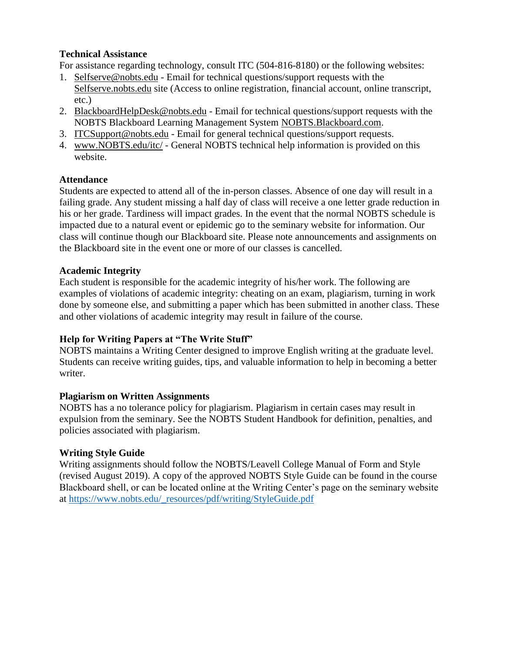## **Technical Assistance**

For assistance regarding technology, consult ITC (504-816-8180) or the following websites:

- 1. Selfserve@nobts.edu Email for technical questions/support requests with the Selfserve.nobts.edu site (Access to online registration, financial account, online transcript, etc.)
- 2. BlackboardHelpDesk@nobts.edu Email for technical questions/support requests with the NOBTS Blackboard Learning Management System NOBTS.Blackboard.com.
- 3. ITCSupport@nobts.edu Email for general technical questions/support requests.
- 4. www.NOBTS.edu/itc/ General NOBTS technical help information is provided on this website.

# **Attendance**

Students are expected to attend all of the in-person classes. Absence of one day will result in a failing grade. Any student missing a half day of class will receive a one letter grade reduction in his or her grade. Tardiness will impact grades. In the event that the normal NOBTS schedule is impacted due to a natural event or epidemic go to the seminary website for information. Our class will continue though our Blackboard site. Please note announcements and assignments on the Blackboard site in the event one or more of our classes is cancelled.

## **Academic Integrity**

Each student is responsible for the academic integrity of his/her work. The following are examples of violations of academic integrity: cheating on an exam, plagiarism, turning in work done by someone else, and submitting a paper which has been submitted in another class. These and other violations of academic integrity may result in failure of the course.

# **Help for Writing Papers at "The Write Stuff"**

NOBTS maintains a Writing Center designed to improve English writing at the graduate level. Students can receive writing guides, tips, and valuable information to help in becoming a better writer.

#### **Plagiarism on Written Assignments**

NOBTS has a no tolerance policy for plagiarism. Plagiarism in certain cases may result in expulsion from the seminary. See the NOBTS Student Handbook for definition, penalties, and policies associated with plagiarism.

# **Writing Style Guide**

Writing assignments should follow the NOBTS/Leavell College Manual of Form and Style (revised August 2019). A copy of the approved NOBTS Style Guide can be found in the course Blackboard shell, or can be located online at the Writing Center's page on the seminary website at [https://www.nobts.edu/\\_resources/pdf/writing/StyleGuide.pdf](https://www.nobts.edu/_resources/pdf/writing/StyleGuide.pdf)